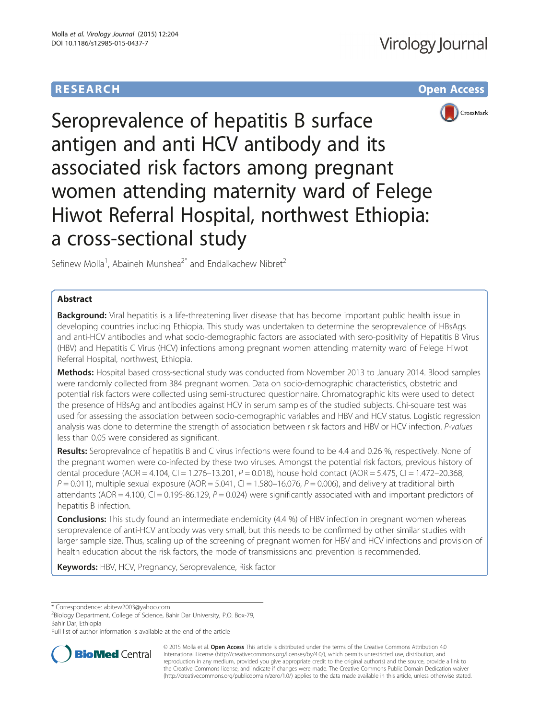# **RESEARCH CHE CHE Open Access**



Seroprevalence of hepatitis B surface antigen and anti HCV antibody and its associated risk factors among pregnant women attending maternity ward of Felege Hiwot Referral Hospital, northwest Ethiopia: a cross-sectional study

Sefinew Molla<sup>1</sup>, Abaineh Munshea<sup>2\*</sup> and Endalkachew Nibret<sup>2</sup>

## Abstract

Background: Viral hepatitis is a life-threatening liver disease that has become important public health issue in developing countries including Ethiopia. This study was undertaken to determine the seroprevalence of HBsAgs and anti-HCV antibodies and what socio-demographic factors are associated with sero-positivity of Hepatitis B Virus (HBV) and Hepatitis C Virus (HCV) infections among pregnant women attending maternity ward of Felege Hiwot Referral Hospital, northwest, Ethiopia.

Methods: Hospital based cross-sectional study was conducted from November 2013 to January 2014. Blood samples were randomly collected from 384 pregnant women. Data on socio-demographic characteristics, obstetric and potential risk factors were collected using semi-structured questionnaire. Chromatographic kits were used to detect the presence of HBsAg and antibodies against HCV in serum samples of the studied subjects. Chi-square test was used for assessing the association between socio-demographic variables and HBV and HCV status. Logistic regression analysis was done to determine the strength of association between risk factors and HBV or HCV infection. P-values less than 0.05 were considered as significant.

Results: Seroprevalnce of hepatitis B and C virus infections were found to be 4.4 and 0.26 %, respectively. None of the pregnant women were co-infected by these two viruses. Amongst the potential risk factors, previous history of dental procedure (AOR = 4.104, CI = 1.276-13.201, P = 0.018), house hold contact (AOR = 5.475, CI = 1.472-20.368,  $P = 0.011$ ), multiple sexual exposure (AOR = 5.041, CI = 1.580–16.076,  $P = 0.006$ ), and delivery at traditional birth attendants (AOR = 4.100, CI = 0.195-86.129,  $P = 0.024$ ) were significantly associated with and important predictors of hepatitis B infection.

**Conclusions:** This study found an intermediate endemicity (4.4 %) of HBV infection in pregnant women whereas seroprevalence of anti-HCV antibody was very small, but this needs to be confirmed by other similar studies with larger sample size. Thus, scaling up of the screening of pregnant women for HBV and HCV infections and provision of health education about the risk factors, the mode of transmissions and prevention is recommended.

Keywords: HBV, HCV, Pregnancy, Seroprevalence, Risk factor

\* Correspondence: [abitew2003@yahoo.com](mailto:abitew2003@yahoo.com) <sup>2</sup>

<sup>2</sup>Biology Department, College of Science, Bahir Dar University, P.O. Box-79, Bahir Dar, Ethiopia

Full list of author information is available at the end of the article



© 2015 Molla et al. Open Access This article is distributed under the terms of the Creative Commons Attribution 4.0 International License [\(http://creativecommons.org/licenses/by/4.0/](http://creativecommons.org/licenses/by/4.0/)), which permits unrestricted use, distribution, and reproduction in any medium, provided you give appropriate credit to the original author(s) and the source, provide a link to the Creative Commons license, and indicate if changes were made. The Creative Commons Public Domain Dedication waiver [\(http://creativecommons.org/publicdomain/zero/1.0/](http://creativecommons.org/publicdomain/zero/1.0/)) applies to the data made available in this article, unless otherwise stated.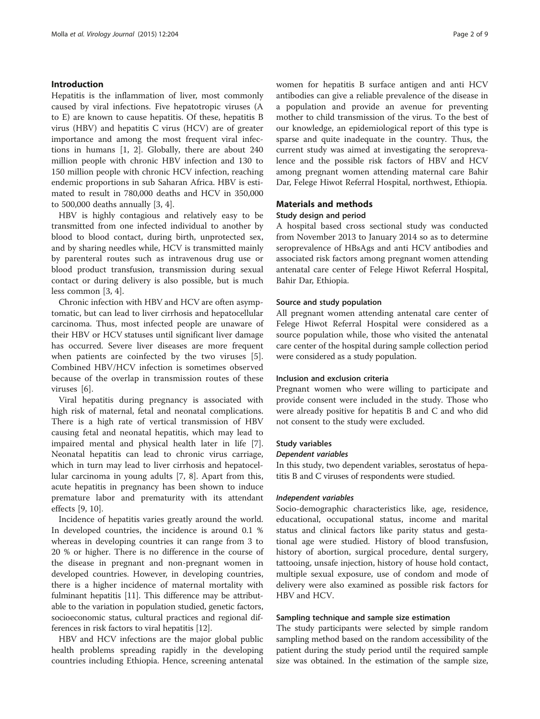## Introduction

Hepatitis is the inflammation of liver, most commonly caused by viral infections. Five hepatotropic viruses (A to E) are known to cause hepatitis. Of these, hepatitis B virus (HBV) and hepatitis C virus (HCV) are of greater importance and among the most frequent viral infections in humans [\[1](#page-7-0), [2\]](#page-7-0). Globally, there are about 240 million people with chronic HBV infection and 130 to 150 million people with chronic HCV infection, reaching endemic proportions in sub Saharan Africa. HBV is estimated to result in 780,000 deaths and HCV in 350,000 to 500,000 deaths annually [\[3](#page-7-0), [4](#page-7-0)].

HBV is highly contagious and relatively easy to be transmitted from one infected individual to another by blood to blood contact, during birth, unprotected sex, and by sharing needles while, HCV is transmitted mainly by parenteral routes such as intravenous drug use or blood product transfusion, transmission during sexual contact or during delivery is also possible, but is much less common [[3, 4\]](#page-7-0).

Chronic infection with HBV and HCV are often asymptomatic, but can lead to liver cirrhosis and hepatocellular carcinoma. Thus, most infected people are unaware of their HBV or HCV statuses until significant liver damage has occurred. Severe liver diseases are more frequent when patients are coinfected by the two viruses [[5](#page-7-0)]. Combined HBV/HCV infection is sometimes observed because of the overlap in transmission routes of these viruses [[6\]](#page-7-0).

Viral hepatitis during pregnancy is associated with high risk of maternal, fetal and neonatal complications. There is a high rate of vertical transmission of HBV causing fetal and neonatal hepatitis, which may lead to impaired mental and physical health later in life [\[7](#page-7-0)]. Neonatal hepatitis can lead to chronic virus carriage, which in turn may lead to liver cirrhosis and hepatocellular carcinoma in young adults [[7](#page-7-0), [8](#page-7-0)]. Apart from this, acute hepatitis in pregnancy has been shown to induce premature labor and prematurity with its attendant effects [[9, 10\]](#page-7-0).

Incidence of hepatitis varies greatly around the world. In developed countries, the incidence is around 0.1 % whereas in developing countries it can range from 3 to 20 % or higher. There is no difference in the course of the disease in pregnant and non-pregnant women in developed countries. However, in developing countries, there is a higher incidence of maternal mortality with fulminant hepatitis [\[11\]](#page-7-0). This difference may be attributable to the variation in population studied, genetic factors, socioeconomic status, cultural practices and regional differences in risk factors to viral hepatitis [\[12\]](#page-7-0).

HBV and HCV infections are the major global public health problems spreading rapidly in the developing countries including Ethiopia. Hence, screening antenatal

women for hepatitis B surface antigen and anti HCV antibodies can give a reliable prevalence of the disease in a population and provide an avenue for preventing mother to child transmission of the virus. To the best of our knowledge, an epidemiological report of this type is sparse and quite inadequate in the country. Thus, the current study was aimed at investigating the seroprevalence and the possible risk factors of HBV and HCV among pregnant women attending maternal care Bahir Dar, Felege Hiwot Referral Hospital, northwest, Ethiopia.

## Materials and methods

## Study design and period

A hospital based cross sectional study was conducted from November 2013 to January 2014 so as to determine seroprevalence of HBsAgs and anti HCV antibodies and associated risk factors among pregnant women attending antenatal care center of Felege Hiwot Referral Hospital, Bahir Dar, Ethiopia.

## Source and study population

All pregnant women attending antenatal care center of Felege Hiwot Referral Hospital were considered as a source population while, those who visited the antenatal care center of the hospital during sample collection period were considered as a study population.

## Inclusion and exclusion criteria

Pregnant women who were willing to participate and provide consent were included in the study. Those who were already positive for hepatitis B and C and who did not consent to the study were excluded.

#### Study variables

#### Dependent variables

In this study, two dependent variables, serostatus of hepatitis B and C viruses of respondents were studied.

## Independent variables

Socio-demographic characteristics like, age, residence, educational, occupational status, income and marital status and clinical factors like parity status and gestational age were studied. History of blood transfusion, history of abortion, surgical procedure, dental surgery, tattooing, unsafe injection, history of house hold contact, multiple sexual exposure, use of condom and mode of delivery were also examined as possible risk factors for HBV and HCV.

## Sampling technique and sample size estimation

The study participants were selected by simple random sampling method based on the random accessibility of the patient during the study period until the required sample size was obtained. In the estimation of the sample size,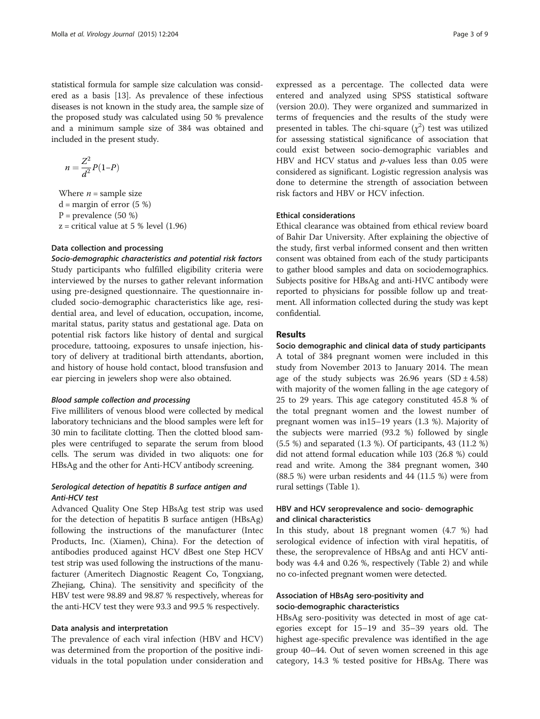statistical formula for sample size calculation was considered as a basis [\[13](#page-7-0)]. As prevalence of these infectious diseases is not known in the study area, the sample size of the proposed study was calculated using 50 % prevalence and a minimum sample size of 384 was obtained and included in the present study.

$$
n = \frac{Z^2}{d^2}P(1-P)
$$

Where  $n =$  sample size  $d =$  margin of error (5 %)  $P =$  prevalence (50 %)  $z =$  critical value at 5 % level (1.96)

## Data collection and processing

Socio-demographic characteristics and potential risk factors Study participants who fulfilled eligibility criteria were interviewed by the nurses to gather relevant information using pre-designed questionnaire. The questionnaire included socio-demographic characteristics like age, residential area, and level of education, occupation, income, marital status, parity status and gestational age. Data on potential risk factors like history of dental and surgical procedure, tattooing, exposures to unsafe injection, history of delivery at traditional birth attendants, abortion, and history of house hold contact, blood transfusion and ear piercing in jewelers shop were also obtained.

#### Blood sample collection and processing

Five milliliters of venous blood were collected by medical laboratory technicians and the blood samples were left for 30 min to facilitate clotting. Then the clotted blood samples were centrifuged to separate the serum from blood cells. The serum was divided in two aliquots: one for HBsAg and the other for Anti-HCV antibody screening.

## Serological detection of hepatitis B surface antigen and Anti-HCV test

Advanced Quality One Step HBsAg test strip was used for the detection of hepatitis B surface antigen (HBsAg) following the instructions of the manufacturer (Intec Products, Inc. (Xiamen), China). For the detection of antibodies produced against HCV dBest one Step HCV test strip was used following the instructions of the manufacturer (Ameritech Diagnostic Reagent Co, Tongxiang, Zhejiang, China). The sensitivity and specificity of the HBV test were 98.89 and 98.87 % respectively, whereas for the anti-HCV test they were 93.3 and 99.5 % respectively.

#### Data analysis and interpretation

The prevalence of each viral infection (HBV and HCV) was determined from the proportion of the positive individuals in the total population under consideration and

expressed as a percentage. The collected data were entered and analyzed using SPSS statistical software (version 20.0). They were organized and summarized in terms of frequencies and the results of the study were presented in tables. The chi-square  $(\chi^2)$  test was utilized for assessing statistical significance of association that could exist between socio-demographic variables and HBV and HCV status and  $p$ -values less than 0.05 were considered as significant. Logistic regression analysis was done to determine the strength of association between risk factors and HBV or HCV infection.

#### Ethical considerations

Ethical clearance was obtained from ethical review board of Bahir Dar University. After explaining the objective of the study, first verbal informed consent and then written consent was obtained from each of the study participants to gather blood samples and data on sociodemographics. Subjects positive for HBsAg and anti-HVC antibody were reported to physicians for possible follow up and treatment. All information collected during the study was kept confidential.

## Results

Socio demographic and clinical data of study participants A total of 384 pregnant women were included in this study from November 2013 to January 2014. The mean age of the study subjects was  $26.96$  years  $(SD \pm 4.58)$ with majority of the women falling in the age category of 25 to 29 years. This age category constituted 45.8 % of the total pregnant women and the lowest number of pregnant women was in15–19 years (1.3 %). Majority of the subjects were married (93.2 %) followed by single (5.5 %) and separated (1.3 %). Of participants, 43 (11.2 %) did not attend formal education while 103 (26.8 %) could read and write. Among the 384 pregnant women, 340 (88.5 %) were urban residents and 44 (11.5 %) were from rural settings (Table [1\)](#page-3-0).

## HBV and HCV seroprevalence and socio- demographic and clinical characteristics

In this study, about 18 pregnant women (4.7 %) had serological evidence of infection with viral hepatitis, of these, the seroprevalence of HBsAg and anti HCV antibody was 4.4 and 0.26 %, respectively (Table [2](#page-3-0)) and while no co-infected pregnant women were detected.

## Association of HBsAg sero-positivity and socio-demographic characteristics

HBsAg sero-positivity was detected in most of age categories except for 15–19 and 35–39 years old. The highest age-specific prevalence was identified in the age group 40–44. Out of seven women screened in this age category, 14.3 % tested positive for HBsAg. There was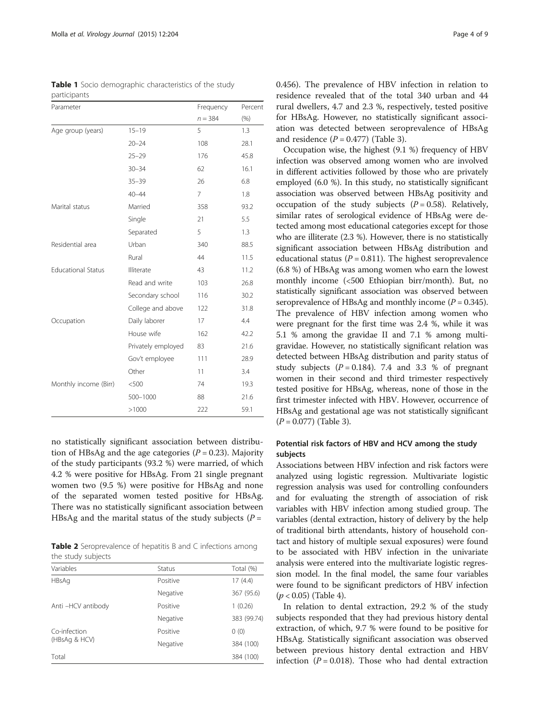<span id="page-3-0"></span>Table 1 Socio demographic characteristics of the study participants

| Parameter                 |                    | Frequency | Percent |
|---------------------------|--------------------|-----------|---------|
|                           |                    | $n = 384$ | (% )    |
| Age group (years)         | $15 - 19$          | 5         | 1.3     |
|                           | $20 - 24$          | 108       | 28.1    |
|                           | $25 - 29$          | 176       | 45.8    |
|                           | $30 - 34$          | 62        | 16.1    |
|                           | $35 - 39$          | 26        | 6.8     |
|                           | $40 - 44$          | 7         | 1.8     |
| Marital status            | Married            | 358       | 93.2    |
|                           | Single             | 21        | 5.5     |
|                           | Separated          | 5         | 1.3     |
| Residential area          | Urban              | 340       | 88.5    |
|                           | Rural              | 44        | 11.5    |
| <b>Educational Status</b> | Illiterate         | 43        | 11.2    |
|                           | Read and write     | 103       | 26.8    |
|                           | Secondary school   | 116       | 30.2    |
|                           | College and above  | 122       | 31.8    |
| Occupation                | Daily laborer      | 17        | 4.4     |
|                           | House wife         | 162       | 42.2    |
|                           | Privately employed | 83        | 21.6    |
|                           | Gov't employee     | 111       | 28.9    |
|                           | Other              | 11        | 3.4     |
| Monthly income (Birr)     | < 500              | 74        | 19.3    |
|                           | 500-1000           | 88        | 21.6    |
|                           | >1000              | 222       | 59.1    |

no statistically significant association between distribution of HBsAg and the age categories ( $P = 0.23$ ). Majority of the study participants (93.2 %) were married, of which 4.2 % were positive for HBsAg. From 21 single pregnant women two (9.5 %) were positive for HBsAg and none of the separated women tested positive for HBsAg. There was no statistically significant association between HBsAg and the marital status of the study subjects ( $P =$ 

Table 2 Seroprevalence of hepatitis B and C infections among the study subjects

| Variables         | <b>Status</b> | Total (%)   |
|-------------------|---------------|-------------|
| <b>HBsAg</b>      | Positive      | 17(4.4)     |
|                   | Negative      | 367 (95.6)  |
| Anti-HCV antibody | Positive      | 1(0.26)     |
|                   | Negative      | 383 (99.74) |
| Co-infection      | Positive      | 0(0)        |
| (HBsAg & HCV)     | Negative      | 384 (100)   |
| Total             |               | 384 (100)   |

0.456). The prevalence of HBV infection in relation to residence revealed that of the total 340 urban and 44 rural dwellers, 4.7 and 2.3 %, respectively, tested positive for HBsAg. However, no statistically significant association was detected between seroprevalence of HBsAg and residence  $(P = 0.477)$  (Table [3](#page-4-0)).

Occupation wise, the highest (9.1 %) frequency of HBV infection was observed among women who are involved in different activities followed by those who are privately employed (6.0 %). In this study, no statistically significant association was observed between HBsAg positivity and occupation of the study subjects  $(P = 0.58)$ . Relatively, similar rates of serological evidence of HBsAg were detected among most educational categories except for those who are illiterate (2.3 %). However, there is no statistically significant association between HBsAg distribution and educational status ( $P = 0.811$ ). The highest seroprevalence (6.8 %) of HBsAg was among women who earn the lowest monthly income (<500 Ethiopian birr/month). But, no statistically significant association was observed between seroprevalence of HBsAg and monthly income  $(P = 0.345)$ . The prevalence of HBV infection among women who were pregnant for the first time was 2.4 %, while it was 5.1 % among the gravidae II and 7.1 % among multigravidae. However, no statistically significant relation was detected between HBsAg distribution and parity status of study subjects  $(P = 0.184)$ . 7.4 and 3.3 % of pregnant women in their second and third trimester respectively tested positive for HBsAg, whereas, none of those in the first trimester infected with HBV. However, occurrence of HBsAg and gestational age was not statistically significant  $(P = 0.077)$  (Table [3](#page-4-0)).

## Potential risk factors of HBV and HCV among the study subjects

Associations between HBV infection and risk factors were analyzed using logistic regression. Multivariate logistic regression analysis was used for controlling confounders and for evaluating the strength of association of risk variables with HBV infection among studied group. The variables (dental extraction, history of delivery by the help of traditional birth attendants, history of household contact and history of multiple sexual exposures) were found to be associated with HBV infection in the univariate analysis were entered into the multivariate logistic regression model. In the final model, the same four variables were found to be significant predictors of HBV infection  $(p < 0.05)$  (Table [4](#page-5-0)).

In relation to dental extraction, 29.2 % of the study subjects responded that they had previous history dental extraction, of which, 9.7 % were found to be positive for HBsAg. Statistically significant association was observed between previous history dental extraction and HBV infection ( $P = 0.018$ ). Those who had dental extraction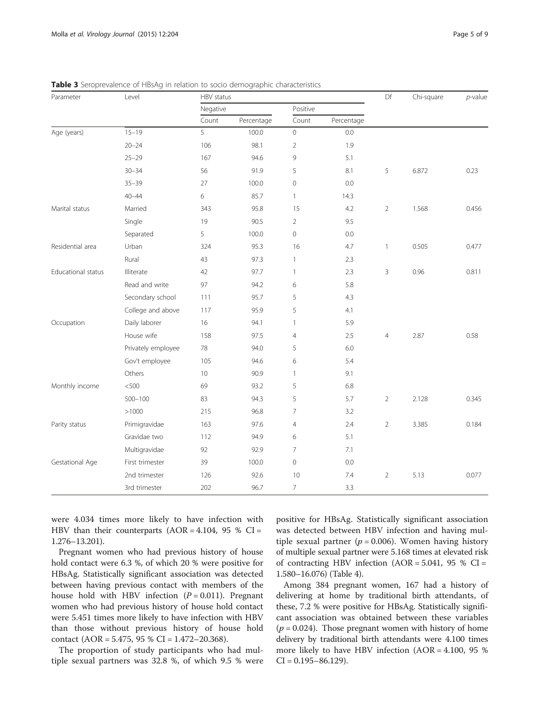| Parameter          | Level              | HBV status |            |                | Df         | Chi-square     | $p$ -value |       |
|--------------------|--------------------|------------|------------|----------------|------------|----------------|------------|-------|
|                    |                    | Negative   |            | Positive       |            |                |            |       |
|                    |                    | Count      | Percentage | Count          | Percentage |                |            |       |
| Age (years)        | $15 - 19$          | 5          | 100.0      | $\mathbb O$    | 0.0        |                |            |       |
|                    | $20 - 24$          | 106        | 98.1       | $\overline{2}$ | 1.9        |                |            |       |
|                    | $25 - 29$          | 167        | 94.6       | 9              | 5.1        |                |            |       |
|                    | $30 - 34$          | 56         | 91.9       | 5              | 8.1        | 5              | 6.872      | 0.23  |
|                    | $35 - 39$          | 27         | 100.0      | $\mathbf{0}$   | 0.0        |                |            |       |
|                    | $40 - 44$          | 6          | 85.7       | $\mathbf{1}$   | 14.3       |                |            |       |
| Marital status     | Married            | 343        | 95.8       | 15             | 4.2        | $\overline{2}$ | 1.568      | 0.456 |
|                    | Single             | 19         | 90.5       | $\overline{2}$ | 9.5        |                |            |       |
|                    | Separated          | 5          | 100.0      | $\overline{0}$ | 0.0        |                |            |       |
| Residential area   | Urban              | 324        | 95.3       | 16             | 4.7        | $\mathbf{1}$   | 0.505      | 0.477 |
|                    | Rural              | 43         | 97.3       | $\mathbf{1}$   | 2.3        |                |            |       |
| Educational status | Illiterate         | 42         | 97.7       | $\mathbf{1}$   | 2.3        | 3              | 0.96       | 0.811 |
|                    | Read and write     | 97         | 94.2       | 6              | 5.8        |                |            |       |
|                    | Secondary school   | 111        | 95.7       | 5              | 4.3        |                |            |       |
|                    | College and above  | 117        | 95.9       | 5              | 4.1        |                |            |       |
| Occupation         | Daily laborer      | 16         | 94.1       | $\mathbf{1}$   | 5.9        |                |            |       |
|                    | House wife         | 158        | 97.5       | $\overline{4}$ | 2.5        | $\overline{4}$ | 2.87       | 0.58  |
|                    | Privately employee | 78         | 94.0       | 5              | 6.0        |                |            |       |
|                    | Gov't employee     | 105        | 94.6       | 6              | 5.4        |                |            |       |
|                    | Others             | 10         | 90.9       | $\mathbf{1}$   | 9.1        |                |            |       |
| Monthly income     | < 500              | 69         | 93.2       | 5              | 6.8        |                |            |       |
|                    | $500 - 100$        | 83         | 94.3       | 5              | 5.7        | $\overline{2}$ | 2.128      | 0.345 |
|                    | >1000              | 215        | 96.8       | $\overline{7}$ | 3.2        |                |            |       |
| Parity status      | Primigravidae      | 163        | 97.6       | $\overline{4}$ | 2.4        | $\overline{2}$ | 3.385      | 0.184 |
|                    | Gravidae two       | 112        | 94.9       | 6              | 5.1        |                |            |       |
|                    | Multigravidae      | 92         | 92.9       | $\overline{7}$ | 7.1        |                |            |       |
| Gestational Age    | First trimester    | 39         | 100.0      | $\mathbf 0$    | 0.0        |                |            |       |
|                    | 2nd trimester      | 126        | 92.6       | 10             | 7.4        | $\overline{2}$ | 5.13       | 0.077 |
|                    | 3rd trimester      | 202        | 96.7       | $\overline{7}$ | 3.3        |                |            |       |

<span id="page-4-0"></span>**Table 3** Seroprevalence of HBsAg in relation to socio demographic characteristics

were 4.034 times more likely to have infection with HBV than their counterparts  $(AOR = 4.104, 95 % C1 =$ 1.276–13.201).

Pregnant women who had previous history of house hold contact were 6.3 %, of which 20 % were positive for HBsAg. Statistically significant association was detected between having previous contact with members of the house hold with HBV infection  $(P = 0.011)$ . Pregnant women who had previous history of house hold contact were 5.451 times more likely to have infection with HBV than those without previous history of house hold contact (AOR =  $5.475$ , 95 % CI =  $1.472 - 20.368$ ).

The proportion of study participants who had multiple sexual partners was 32.8 %, of which 9.5 % were

positive for HBsAg. Statistically significant association was detected between HBV infection and having multiple sexual partner ( $p = 0.006$ ). Women having history of multiple sexual partner were 5.168 times at elevated risk of contracting HBV infection  $(AOR = 5.041, 95 %$  CI = 1.580–16.076) (Table [4\)](#page-5-0).

Among 384 pregnant women, 167 had a history of delivering at home by traditional birth attendants, of these, 7.2 % were positive for HBsAg. Statistically significant association was obtained between these variables ( $p = 0.024$ ). Those pregnant women with history of home delivery by traditional birth attendants were 4.100 times more likely to have HBV infection (AOR = 4.100, 95 %  $CI = 0.195 - 86.129$ .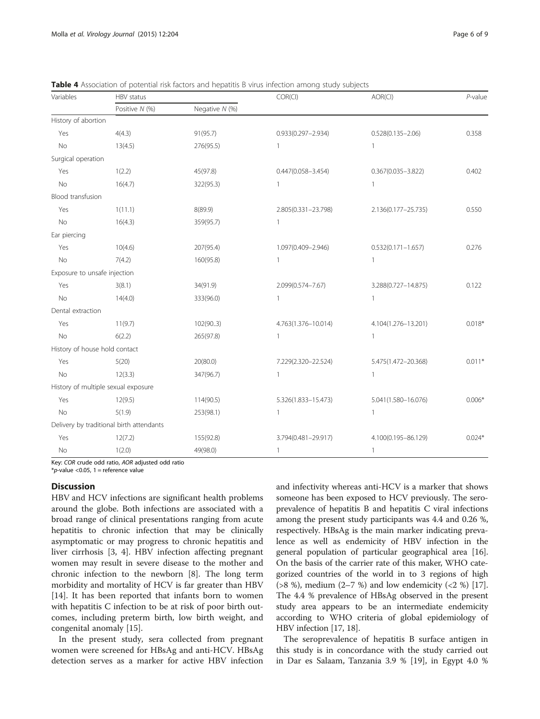| Variables                     | HBV status                               |                |                        | AOR(CI)                | $P$ -value |
|-------------------------------|------------------------------------------|----------------|------------------------|------------------------|------------|
|                               | Positive N (%)                           | Negative N (%) |                        |                        |            |
| History of abortion           |                                          |                |                        |                        |            |
| Yes                           | 4(4.3)                                   | 91(95.7)       | $0.933(0.297 - 2.934)$ | $0.528(0.135 - 2.06)$  | 0.358      |
| No                            | 13(4.5)                                  | 276(95.5)      | $\mathbf{1}$           | $\mathbf{1}$           |            |
| Surgical operation            |                                          |                |                        |                        |            |
| Yes                           | 1(2.2)                                   | 45(97.8)       | $0.447(0.058 - 3.454)$ | $0.367(0.035 - 3.822)$ | 0.402      |
| <b>No</b>                     | 16(4.7)                                  | 322(95.3)      |                        | 1                      |            |
| Blood transfusion             |                                          |                |                        |                        |            |
| Yes                           | 1(11.1)                                  | 8(89.9)        | 2.805(0.331-23.798)    | 2.136(0.177-25.735)    | 0.550      |
| <b>No</b>                     | 16(4.3)                                  | 359(95.7)      | $\mathbf{1}$           |                        |            |
| Ear piercing                  |                                          |                |                        |                        |            |
| Yes                           | 10(4.6)                                  | 207(95.4)      | 1.097(0.409-2.946)     | $0.532(0.171 - 1.657)$ | 0.276      |
| No                            | 7(4.2)                                   | 160(95.8)      | $\mathbf{1}$           | $\mathbf{1}$           |            |
| Exposure to unsafe injection  |                                          |                |                        |                        |            |
| Yes                           | 3(8.1)                                   | 34(91.9)       | 2.099(0.574-7.67)      | 3.288(0.727-14.875)    | 0.122      |
| <b>No</b>                     | 14(4.0)                                  | 333(96.0)      | $\mathbf{1}$           | $\mathbf{1}$           |            |
| Dental extraction             |                                          |                |                        |                        |            |
| Yes                           | 11(9.7)                                  | 102(903)       | 4.763(1.376-10.014)    | 4.104(1.276-13.201)    | $0.018*$   |
| <b>No</b>                     | 6(2.2)                                   | 265(97.8)      | $\mathbf{1}$           | $\mathbf{1}$           |            |
| History of house hold contact |                                          |                |                        |                        |            |
| Yes                           | 5(20)                                    | 20(80.0)       | 7.229(2.320-22.524)    | 5.475(1.472-20.368)    | $0.011*$   |
| No                            | 12(3.3)                                  | 347(96.7)      | $\mathbf{1}$           | $\mathbf{1}$           |            |
|                               | History of multiple sexual exposure      |                |                        |                        |            |
| Yes                           | 12(9.5)                                  | 114(90.5)      | 5.326(1.833-15.473)    | 5.041(1.580-16.076)    | $0.006*$   |
| <b>No</b>                     | 5(1.9)                                   | 253(98.1)      | $\mathbf{1}$           | $\mathbf{1}$           |            |
|                               | Delivery by traditional birth attendants |                |                        |                        |            |
| Yes                           | 12(7.2)                                  | 155(92.8)      | 3.794(0.481-29.917)    | 4.100(0.195-86.129)    | $0.024*$   |
| No                            | 1(2.0)                                   | 49(98.0)       | $\mathbf{1}$           | $\mathbf{1}$           |            |

<span id="page-5-0"></span>Table 4 Association of potential risk factors and hepatitis B virus infection among study subjects

Key: COR crude odd ratio, AOR adjusted odd ratio

 $*_{p}$ -value < 0.05, 1 = reference value

## **Discussion**

HBV and HCV infections are significant health problems around the globe. Both infections are associated with a broad range of clinical presentations ranging from acute hepatitis to chronic infection that may be clinically asymptomatic or may progress to chronic hepatitis and liver cirrhosis [[3, 4\]](#page-7-0). HBV infection affecting pregnant women may result in severe disease to the mother and chronic infection to the newborn [[8\]](#page-7-0). The long term morbidity and mortality of HCV is far greater than HBV [[14\]](#page-7-0). It has been reported that infants born to women with hepatitis C infection to be at risk of poor birth outcomes, including preterm birth, low birth weight, and congenital anomaly [\[15](#page-7-0)].

In the present study, sera collected from pregnant women were screened for HBsAg and anti-HCV. HBsAg detection serves as a marker for active HBV infection and infectivity whereas anti-HCV is a marker that shows someone has been exposed to HCV previously. The seroprevalence of hepatitis B and hepatitis C viral infections among the present study participants was 4.4 and 0.26 %, respectively. HBsAg is the main marker indicating prevalence as well as endemicity of HBV infection in the general population of particular geographical area [[16](#page-7-0)]. On the basis of the carrier rate of this maker, WHO categorized countries of the world in to 3 regions of high ( $>8$  %), medium (2–7 %) and low endemicity ( $<2$  %) [[17](#page-7-0)]. The 4.4 % prevalence of HBsAg observed in the present study area appears to be an intermediate endemicity according to WHO criteria of global epidemiology of HBV infection [\[17, 18](#page-7-0)].

The seroprevalence of hepatitis B surface antigen in this study is in concordance with the study carried out in Dar es Salaam, Tanzania 3.9 % [\[19\]](#page-7-0), in Egypt 4.0 %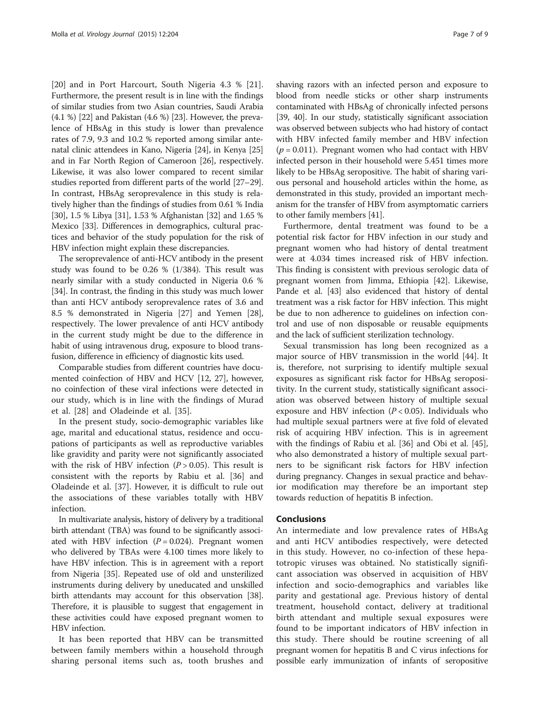[[20\]](#page-7-0) and in Port Harcourt, South Nigeria 4.3 % [\[21](#page-7-0)]. Furthermore, the present result is in line with the findings of similar studies from two Asian countries, Saudi Arabia (4.1 %) [[22](#page-7-0)] and Pakistan (4.6 %) [\[23\]](#page-7-0). However, the prevalence of HBsAg in this study is lower than prevalence rates of 7.9, 9.3 and 10.2 % reported among similar antenatal clinic attendees in Kano, Nigeria [[24](#page-7-0)], in Kenya [[25](#page-7-0)] and in Far North Region of Cameroon [\[26](#page-7-0)], respectively. Likewise, it was also lower compared to recent similar studies reported from different parts of the world [\[27](#page-7-0)–[29](#page-7-0)]. In contrast, HBsAg seroprevalence in this study is relatively higher than the findings of studies from 0.61 % India [[30](#page-7-0)], 1.5 % Libya [[31](#page-7-0)], 1.53 % Afghanistan [[32](#page-7-0)] and 1.65 % Mexico [[33](#page-7-0)]. Differences in demographics, cultural practices and behavior of the study population for the risk of HBV infection might explain these discrepancies.

The seroprevalence of anti-HCV antibody in the present study was found to be 0.26 % (1/384). This result was nearly similar with a study conducted in Nigeria 0.6 % [[34](#page-7-0)]. In contrast, the finding in this study was much lower than anti HCV antibody seroprevalence rates of 3.6 and 8.5 % demonstrated in Nigeria [[27](#page-7-0)] and Yemen [[28](#page-7-0)], respectively. The lower prevalence of anti HCV antibody in the current study might be due to the difference in habit of using intravenous drug, exposure to blood transfusion, difference in efficiency of diagnostic kits used.

Comparable studies from different countries have documented coinfection of HBV and HCV [\[12, 27](#page-7-0)], however, no coinfection of these viral infections were detected in our study, which is in line with the findings of Murad et al. [[28\]](#page-7-0) and Oladeinde et al. [[35](#page-7-0)].

In the present study, socio-demographic variables like age, marital and educational status, residence and occupations of participants as well as reproductive variables like gravidity and parity were not significantly associated with the risk of HBV infection  $(P > 0.05)$ . This result is consistent with the reports by Rabiu et al. [[36\]](#page-7-0) and Oladeinde et al. [[37](#page-7-0)]. However, it is difficult to rule out the associations of these variables totally with HBV infection.

In multivariate analysis, history of delivery by a traditional birth attendant (TBA) was found to be significantly associated with HBV infection  $(P = 0.024)$ . Pregnant women who delivered by TBAs were 4.100 times more likely to have HBV infection. This is in agreement with a report from Nigeria [\[35](#page-7-0)]. Repeated use of old and unsterilized instruments during delivery by uneducated and unskilled birth attendants may account for this observation [[38](#page-7-0)]. Therefore, it is plausible to suggest that engagement in these activities could have exposed pregnant women to HBV infection.

It has been reported that HBV can be transmitted between family members within a household through sharing personal items such as, tooth brushes and

shaving razors with an infected person and exposure to blood from needle sticks or other sharp instruments contaminated with HBsAg of chronically infected persons [[39](#page-7-0), [40](#page-7-0)]. In our study, statistically significant association was observed between subjects who had history of contact with HBV infected family member and HBV infection  $(p = 0.011)$ . Pregnant women who had contact with HBV infected person in their household were 5.451 times more likely to be HBsAg seropositive. The habit of sharing various personal and household articles within the home, as demonstrated in this study, provided an important mechanism for the transfer of HBV from asymptomatic carriers to other family members [\[41\]](#page-8-0).

Furthermore, dental treatment was found to be a potential risk factor for HBV infection in our study and pregnant women who had history of dental treatment were at 4.034 times increased risk of HBV infection. This finding is consistent with previous serologic data of pregnant women from Jimma, Ethiopia [\[42](#page-8-0)]. Likewise, Pande et al. [\[43\]](#page-8-0) also evidenced that history of dental treatment was a risk factor for HBV infection. This might be due to non adherence to guidelines on infection control and use of non disposable or reusable equipments and the lack of sufficient sterilization technology.

Sexual transmission has long been recognized as a major source of HBV transmission in the world [\[44\]](#page-8-0). It is, therefore, not surprising to identify multiple sexual exposures as significant risk factor for HBsAg seropositivity. In the current study, statistically significant association was observed between history of multiple sexual exposure and HBV infection  $(P < 0.05)$ . Individuals who had multiple sexual partners were at five fold of elevated risk of acquiring HBV infection. This is in agreement with the findings of Rabiu et al. [\[36](#page-7-0)] and Obi et al. [\[45](#page-8-0)], who also demonstrated a history of multiple sexual partners to be significant risk factors for HBV infection during pregnancy. Changes in sexual practice and behavior modification may therefore be an important step towards reduction of hepatitis B infection.

## Conclusions

An intermediate and low prevalence rates of HBsAg and anti HCV antibodies respectively, were detected in this study. However, no co-infection of these hepatotropic viruses was obtained. No statistically significant association was observed in acquisition of HBV infection and socio-demographics and variables like parity and gestational age. Previous history of dental treatment, household contact, delivery at traditional birth attendant and multiple sexual exposures were found to be important indicators of HBV infection in this study. There should be routine screening of all pregnant women for hepatitis B and C virus infections for possible early immunization of infants of seropositive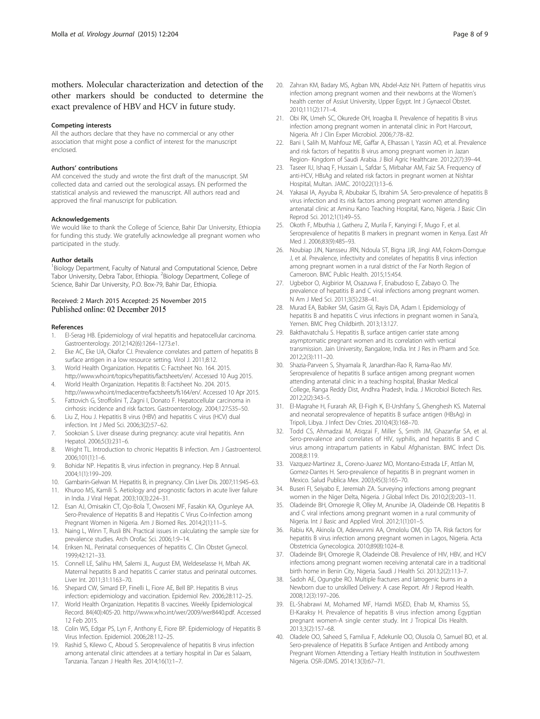<span id="page-7-0"></span>mothers. Molecular characterization and detection of the other markers should be conducted to determine the exact prevalence of HBV and HCV in future study.

#### Competing interests

All the authors declare that they have no commercial or any other association that might pose a conflict of interest for the manuscript enclosed.

#### Authors' contributions

AM conceived the study and wrote the first draft of the manuscript. SM collected data and carried out the serological assays. EN performed the statistical analysis and reviewed the manuscript. All authors read and approved the final manuscript for publication.

#### Acknowledgements

We would like to thank the College of Science, Bahir Dar University, Ethiopia for funding this study. We gratefully acknowledge all pregnant women who participated in the study.

#### Author details

<sup>1</sup> Biology Department, Faculty of Natural and Computational Science, Debre Tabor University, Debra Tabor, Ethiopia. <sup>2</sup>Biology Department, College of Science, Bahir Dar University, P.O. Box-79, Bahir Dar, Ethiopia.

#### Received: 2 March 2015 Accepted: 25 November 2015 Published online: 02 December 2015

#### References

- 1. El-Serag HB. Epidemiology of viral hepatitis and hepatocellular carcinoma. Gastroenterology. 2012;142(6):1264–1273.e1.
- 2. Eke AC, Eke UA, Okafor CJ. Prevalence correlates and pattern of hepatitis B surface antigen in a low resource setting. Virol J. 2011;8:12.
- 3. World Health Organization. Hepatitis C: Factsheet No. 164. 2015.
- [http://www.who.int/topics/hepatitis/factsheets/en/.](http://www.who.int/topics/hepatitis/factsheets/en/) Accessed 10 Aug 2015. 4. World Health Organization. Hepatitis B: Factsheet No. 204. 2015.
- <http://www.who.int/mediacentre/factsheets/fs164/en/>. Accessed 10 Apr 2015. 5. Fattovich G, Stroffolini T, Zagni I, Donato F. Hepatocellular carcinoma in
- cirrhosis: incidence and risk factors. Gastroenterology. 2004;127:S35–50. 6. Liu Z, Hou J. Hepatitis B virus (HBV) and hepatitis C virus (HCV) dual infection. Int J Med Sci. 2006;3(2):57–62.
- 7. Sookoian S. Liver disease during pregnancy: acute viral hepatitis. Ann Hepatol. 2006;5(3):231–6.
- 8. Wright TL. Introduction to chronic Hepatitis B infection. Am J Gastroenterol. 2006;101(1):1–6.
- 9. Bohidar NP. Hepatitis B, virus infection in pregnancy. Hep B Annual. 2004;1(1):199–209.
- 10. Gambarin-Gelwan M. Hepatitis B, in pregnancy. Clin Liver Dis. 2007;11:945–63.
- 11. Khuroo MS, Kamili S. Aetiology and prognostic factors in acute liver failure in India. J Viral Hepat. 2003;10(3):224–31.
- 12. Esan AJ, Omisakin CT, Ojo-Bola T, Owoseni MF, Fasakin KA, Ogunleye AA. Sero-Prevalence of Hepatitis B and Hepatitis C Virus Co-Infection among Pregnant Women in Nigeria. Am J Biomed Res. 2014;2(1):11–5.
- 13. Naing L, Winn T, Rusli BN. Practical issues in calculating the sample size for prevalence studies. Arch Orofac Sci. 2006;1:9–14.
- 14. Eriksen NL. Perinatal consequences of hepatitis C. Clin Obstet Gynecol. 1999;42:121–33.
- 15. Connell LE, Salihu HM, Salemi JL, August EM, Weldeselasse H, Mbah AK. Maternal hepatitis B and hepatitis C carrier status and perinatal outcomes. Liver Int. 2011;31:1163–70.
- 16. Shepard CW, Simard EP, Finelli L, Fiore AE, Bell BP. Hepatitis B virus infection: epidemiology and vaccination. Epidemiol Rev. 2006;28:112–25.
- 17. World Health Organization. Hepatitis B vaccines. Weekly Epidemiological Record. 84(40):405-20.<http://www.who.int/wer/2009/wer8440.pdf>. Accessed 12 Feb 2015.
- 18. Colin WS, Edgar PS, Lyn F, Anthony E, Fiore BP. Epidemiology of Hepatitis B Virus Infection. Epidemiol. 2006;28:112–25.
- 19. Rashid S, Kilewo C, Aboud S. Seroprevalence of hepatitis B virus infection among antenatal clinic attendees at a tertiary hospital in Dar es Salaam, Tanzania. Tanzan J Health Res. 2014;16(1):1–7.
- 20. Zahran KM, Badary MS, Agban MN, Abdel-Aziz NH. Pattern of hepatitis virus infection among pregnant women and their newborns at the Women's health center of Assiut University, Upper Egypt. Int J Gynaecol Obstet. 2010;111(2):171–4.
- 21. Obi RK, Umeh SC, Okurede OH, Iroagba II. Prevalence of hepatitis B virus infection among pregnant women in antenatal clinic in Port Harcourt, Nigeria. Afr J Clin Exper Microbiol. 2006;7:78–82.
- 22. Bani I, Salih M, Mahfouz ME, Gaffar A, Elhassan I, Yassin AO, et al. Prevalence and risk factors of hepatitis B virus among pregnant women in Jazan Region- Kingdom of Saudi Arabia. J Biol Agric Healthcare. 2012;2(7):39–44.
- 23. Taseer IU, Ishaq F, Hussain L, Safdar S, Mirbahar AM, Faiz SA. Frequency of anti-HCV, HBsAg and related risk factors in pregnant women at Nishtar Hospital, Multan. JAMC. 2010;22(1):13–6.
- 24. Yakasai IA, Ayyuba R, Abubakar IS, Ibrahim SA. Sero-prevalence of hepatitis B virus infection and its risk factors among pregnant women attending antenatal clinic at Aminu Kano Teaching Hospital, Kano, Nigeria. J Basic Clin Reprod Sci. 2012;1(1):49–55.
- 25. Okoth F, Mbuthia J, Gatheru Z, Murila F, Kanyingi F, Mugo F, et al. Seroprevalence of hepatitis B markers in pregnant women in Kenya. East Afr Med J. 2006;83(9):485–93.
- 26. Noubiap JJN, Nansseu JRN, Ndoula ST, Bigna JJR, Jingi AM, Fokom-Domgue J, et al. Prevalence, infectivity and correlates of hepatitis B virus infection among pregnant women in a rural district of the Far North Region of Cameroon. BMC Public Health. 2015;15:454.
- 27. Ugbebor O, Aigbirior M, Osazuwa F, Enabudoso E, Zabayo O. The prevalence of hepatitis B and C viral infections among pregnant women. N Am J Med Sci. 2011;3(5):238–41.
- 28. Murad EA, Babiker SM, Gasim GI, Rayis DA, Adam I. Epidemiology of hepatitis B and hepatitis C virus infections in pregnant women in Sana'a, Yemen. BMC Preg Childbirth. 2013;13:127.
- 29. Bakthavatchalu S. Hepatitis B, surface antigen carrier state among asymptomatic pregnant women and its correlation with vertical transmission. Jain University, Bangalore, India. Int J Res in Pharm and Sce. 2012;2(3):111–20.
- 30. Shazia-Parveen S, Shyamala R, Janardhan-Rao R, Rama-Rao MV. Seroprevalence of hepatitis B surface antigen among pregnant women attending antenatal clinic in a teaching hospital, Bhaskar Medical College, Ranga Reddy Dist, Andhra Pradesh, India. J Microbiol Biotech Res. 2012;2(2):343–5.
- 31. El-Magrahe H, Furarah AR, El-Figih K, El-Urshfany S, Ghenghesh KS. Maternal and neonatal seroprevalence of hepatitis B surface antigen (HBsAg) in Tripoli, Libya. J Infect Dev Ctries. 2010;4(3):168–70.
- 32. Todd CS, Ahmadzai M, Atiqzai F, Miller S, Smith JM, Ghazanfar SA, et al. Sero-prevalence and correlates of HIV, syphilis, and hepatitis B and C virus among intrapartum patients in Kabul Afghanistan. BMC Infect Dis. 2008;8:119.
- 33. Vazquez-Martinez JL, Coreno-Juarez MO, Montano-Estrada LF, Attlan M, Gomez-Dantes H. Sero-prevalence of hepatitis B in pregnant women in Mexico. Salud Publica Mex. 2003;45(3):165–70.
- 34. Buseri FI, Seiyabo E, Jeremiah ZA. Surveying infections among pregnant women in the Niger Delta, Nigeria. J Global Infect Dis. 2010;2(3):203–11.
- 35. Oladeinde BH, Omoregie R, Olley M, Anunibe JA, Oladeinde OB. Hepatitis B and C viral infections among pregnant women in a rural community of Nigeria. Int J Basic and Applied Virol. 2012;1(1):01–5.
- 36. Rabiu KA, Akinola OI, Adewunmi AA, Omololu OM, Ojo TA. Risk factors for hepatitis B virus infection among pregnant women in Lagos, Nigeria. Acta Obstetricia Gynecologica. 2010;89(8):1024–8.
- 37. Oladeinde BH, Omoregie R, Oladeinde OB. Prevalence of HIV, HBV, and HCV infections among pregnant women receiving antenatal care in a traditional birth home in Benin City, Nigeria. Saudi J Health Sci. 2013;2(2):113–7.
- 38. Sadoh AE, Ogungbe RO. Multiple fractures and latrogenic burns in a Newborn due to unskilled Delivery: A case Report. Afr J Reprod Health. 2008;12(3):197–206.
- 39. EL-Shabrawi M, Mohamed MF, Hamdi MSED, Ehab M, Khamiss SS, El-Karaksy H. Prevalence of hepatitis B virus infection among Egyptian pregnant women-A single center study. Int J Tropical Dis Health. 2013;3(2):157–68.
- 40. Oladele OO, Saheed S, Familua F, Adekunle OO, Olusola O, Samuel BO, et al. Sero-prevalence of Hepatitis B Surface Antigen and Antibody among Pregnant Women Attending a Tertiary Health Institution in Southwestern Nigeria. OSR-JDMS. 2014;13(3):67–71.